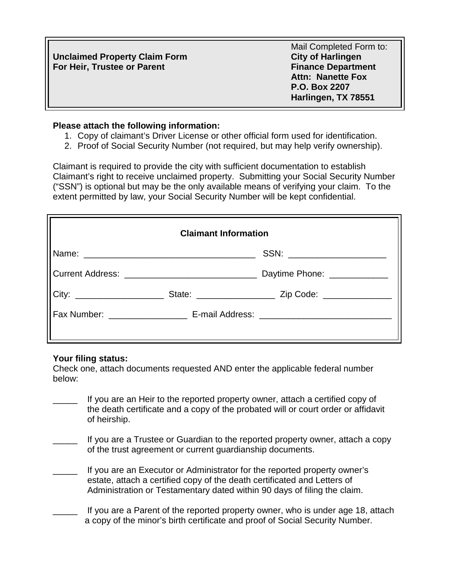|                                      | Mail Completed Form to:   |
|--------------------------------------|---------------------------|
| <b>Unclaimed Property Claim Form</b> | <b>City of Harlingen</b>  |
| For Heir, Trustee or Parent          | <b>Finance Department</b> |
|                                      | <b>Attn: Nanette Fox</b>  |
|                                      | P.O. Box 2207             |
|                                      | Harlingen, TX 78551       |

## **Please attach the following information:**

- 1. Copy of claimant's Driver License or other official form used for identification.
- 2. Proof of Social Security Number (not required, but may help verify ownership).

Claimant is required to provide the city with sufficient documentation to establish Claimant's right to receive unclaimed property. Submitting your Social Security Number ("SSN") is optional but may be the only available means of verifying your claim. To the extent permitted by law, your Social Security Number will be kept confidential.

| <b>Claimant Information</b> |  |                                                                                                      |
|-----------------------------|--|------------------------------------------------------------------------------------------------------|
|                             |  | SSN: _____________________                                                                           |
|                             |  |                                                                                                      |
|                             |  | City: ________________________________State: ___________________________Zip Code: __________________ |
|                             |  |                                                                                                      |
|                             |  |                                                                                                      |

## **Your filing status:**

Check one, attach documents requested AND enter the applicable federal number below:

- If you are an Heir to the reported property owner, attach a certified copy of the death certificate and a copy of the probated will or court order or affidavit of heirship.
- If you are a Trustee or Guardian to the reported property owner, attach a copy of the trust agreement or current guardianship documents.
- If you are an Executor or Administrator for the reported property owner's estate, attach a certified copy of the death certificated and Letters of Administration or Testamentary dated within 90 days of filing the claim.
- If you are a Parent of the reported property owner, who is under age 18, attach a copy of the minor's birth certificate and proof of Social Security Number.